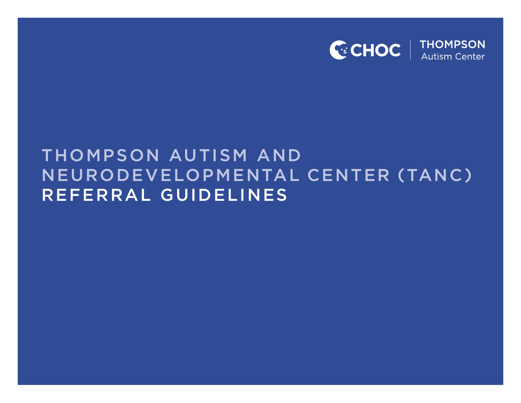

# THOMPSON AUTISM AND NEURODEVELOPMENTAL CENTER (TANC) REFERRAL GUIDELINES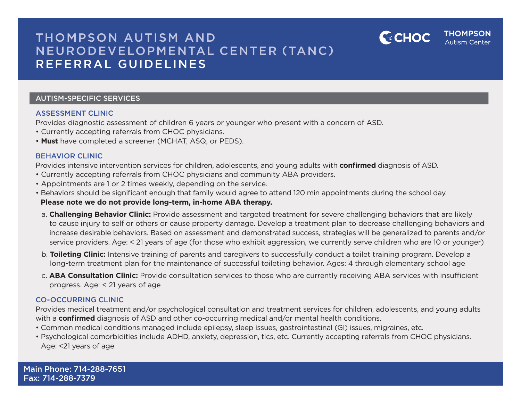## THOMPSON AUTISM AND NEURODEVELOPMENTAL CENTER (TANC) REFERRAL GUIDELINES

### AUTISM-SPECIFIC SERVICES

### ASSESSMENT CLINIC

Provides diagnostic assessment of children 6 years or younger who present with a concern of ASD.

- Currently accepting referrals from CHOC physicians.
- **Must** have completed a screener (MCHAT, ASQ, or PEDS).

### BEHAVIOR CLINIC

Provides intensive intervention services for children, adolescents, and young adults with **confirmed** diagnosis of ASD.

- Currently accepting referrals from CHOC physicians and community ABA providers.
- Appointments are 1 or 2 times weekly, depending on the service.
- Behaviors should be significant enough that family would agree to attend 120 min appointments during the school day. **Please note we do not provide long-term, in-home ABA therapy.**
	- a. **Challenging Behavior Clinic:** Provide assessment and targeted treatment for severe challenging behaviors that are likely to cause injury to self or others or cause property damage. Develop a treatment plan to decrease challenging behaviors and increase desirable behaviors. Based on assessment and demonstrated success, strategies will be generalized to parents and/or service providers. Age: < 21 years of age (for those who exhibit aggression, we currently serve children who are 10 or younger)

THOMPSON

**GCHOC** 

- b. **Toileting Clinic:** Intensive training of parents and caregivers to successfully conduct a toilet training program. Develop a long-term treatment plan for the maintenance of successful toileting behavior. Ages: 4 through elementary school age
- c. **ABA Consultation Clinic:** Provide consultation services to those who are currently receiving ABA services with insufficient progress. Age: < 21 years of age

### CO-OCCURRING CLINIC

Provides medical treatment and/or psychological consultation and treatment services for children, adolescents, and young adults with a **confirmed** diagnosis of ASD and other co-occurring medical and/or mental health conditions.

- Common medical conditions managed include epilepsy, sleep issues, gastrointestinal (GI) issues, migraines, etc.
- Psychological comorbidities include ADHD, anxiety, depression, tics, etc. Currently accepting referrals from CHOC physicians. Age: <21 years of age